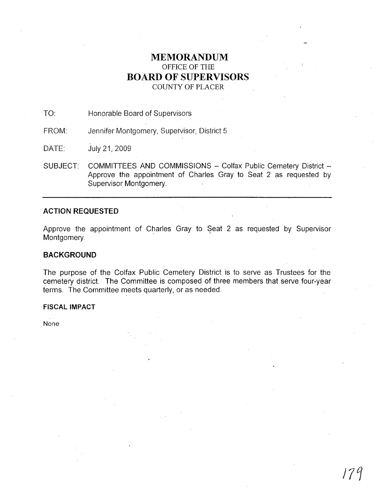# **MEMORANDUM** OFFICE OF THE **BOARD OF SUPERVISORS** COUNTY OF PLACER

.TO: Honorable Board of Supervisors

FROM: Jennifer Montgomery, Supervisor, District 5

DATE: July21, 2009

SUBJECT: COMMITTEES AND COMMISSIONS - Colfax Public Cemetery District -Approve the appointment of Charles Gray to Seat 2 as requested by Supervisor Montgomery.

#### **ACTION REQUESTED**

Approve the appointment of Charles Gray to Seat 2 as requested by Supervisor Montgomery.

## **BACKGROUND**

The purpose of the Colfax Public Cemetery District is to serve as Trustees for the cemetery district. The Committee is composed of three members that serve four-year terms. The Committee meets quarterly, or as needed.

### **FISCAL IMPACT**

None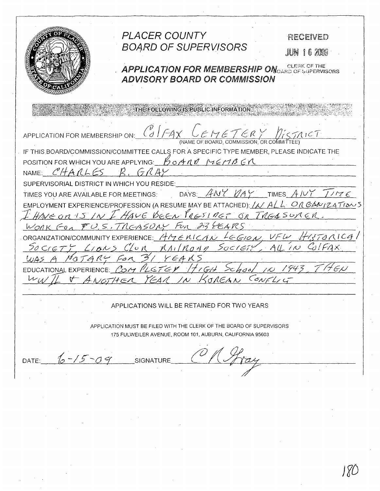PLACER COUNTY RECEIVED **BOARD OF SUPERVISORS** JUN 16 2009 **APPLICATION FOR MEMBERSHIP ON CLERK OF THE APPLICATION FOR MEMBERSHIP ON CLERK OF THE ADVISORY BOARD OR COMMISSION** THE FOLLOWING IS PUBLIC INFORMATION  $\left(\begin{smallmatrix} V \\ \mathcal{Q} \end{smallmatrix}\right)\left(\begin{smallmatrix} -\mathcal{A} \end{smallmatrix}\right)$ APPLICATION FOR MEMBERSHIP ON: (NAME OF BOARD, COMMISSION, OR COMMITTEE) IF THIS BOARD/COMMISSION/COMMITTEE CALLS FOR A SPECIFIC TYPE MEMBER, PLEASE INDICATE THE POSITION FOR WHICH YOU ARE APPLYING:  $H_0 A N V$  MEMBER NAME: CHARLES  $GAR$ SUPERVISORIAL DISTRICT IN WHICH YOU RESIDE: DAYS:  $AWYWAY$  TIMES  $AWYTTYZE$ TIMES YOU ARE AVAILABLE FOR MEETINGS: EMPLOYMENT EXPERIENCE/PROFESSION (A RESUME MAY BE ATTACHED):  $\Delta \Delta A L$   $\Delta \Delta R$   $\Delta N$  /24  $\Delta N$ HAVE ON IS IN I HAVE BEEN PRESIDET OF TREASURER WORK FOR FU.S. TREASURY FOR 23 FEARS ORGANIZATION/COMMUNITY EXPERIENCE:  $A H \in K I C A N$ SOCIETY LIANS CLOR MAILMOAN SOCIETY  $102$ MaTARY FOR  $YEAKS$ EDUCATIONAL EXPERIENCE: COM PLGTEY 171611  $\forall$  $167HFA$   $YFAA$  $\overline{\mathcal{W}}$ KOREAN CONFL APPLICATIONS WILL BE RETAINED FOR TWO YEARS APPLICATION MUST BE FILED WITH THE CLERK OF THE BOARD OF SUPERVISORS 175 FULWEILER AVENUE, ROOM 101, AUBURN, CALIFORNIA 95603 DATE:  $16 - 15 - 09$ **SIGNATURE**